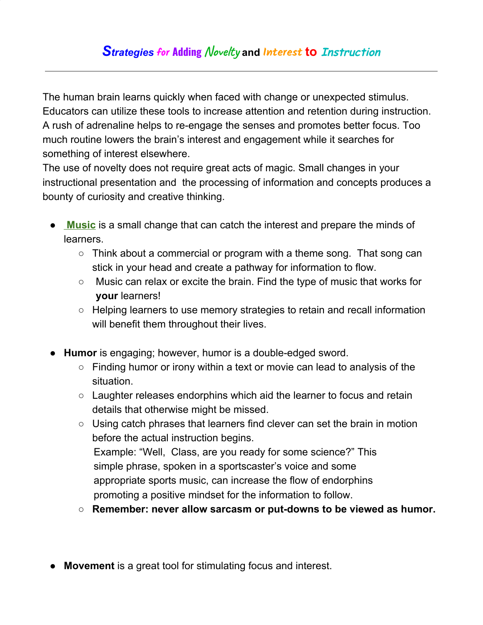The human brain learns quickly when faced with change or unexpected stimulus. Educators can utilize these tools to increase attention and retention during instruction. A rush of adrenaline helps to re-engage the senses and promotes better focus. Too much routine lowers the brain's interest and engagement while it searches for something of interest elsewhere.

The use of novelty does not require great acts of magic. Small changes in your instructional presentation and the processing of information and concepts produces a bounty of curiosity and creative thinking.

- **[Music](http://www.greatexpectations.org/Websites/greatexpectations/images/pdf/practice5/Music%20Resources.pdf)** is a small change that can catch the interest and prepare the minds of learners.
	- $\circ$  Think about a commercial or program with a theme song. That song can stick in your head and create a pathway for information to flow.
	- Music can relax or excite the brain. Find the type of music that works for **your** learners!
	- Helping learners to use memory strategies to retain and recall information will benefit them throughout their lives.
- **Humor** is engaging; however, humor is a double-edged sword.
	- $\circ$  Finding humor or irony within a text or movie can lead to analysis of the situation.
	- Laughter releases endorphins which aid the learner to focus and retain details that otherwise might be missed.
	- Using catch phrases that learners find clever can set the brain in motion before the actual instruction begins. Example: "Well, Class, are you ready for some science?" This simple phrase, spoken in a sportscaster's voice and some appropriate sports music, can increase the flow of endorphins promoting a positive mindset for the information to follow.
	- **Remember: never allow sarcasm or put-downs to be viewed as humor.**
- **Movement** is a great tool for stimulating focus and interest.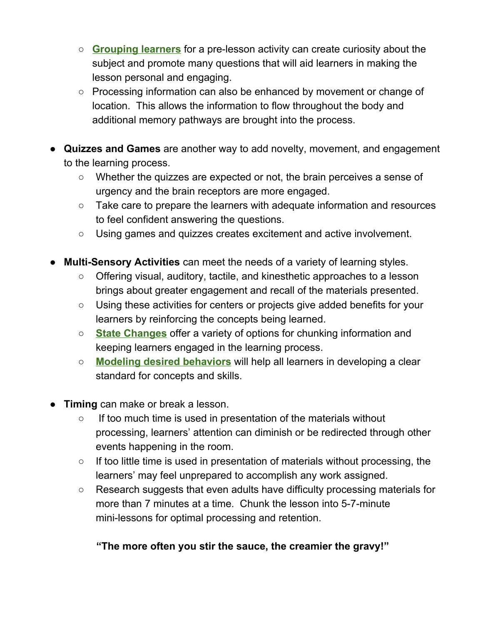- **[Grouping](http://www.greatexpectations.org/strategies-for-pairing-learners) learners** for a pre-lesson activity can create curiosity about the subject and promote many questions that will aid learners in making the lesson personal and engaging.
- Processing information can also be enhanced by movement or change of location. This allows the information to flow throughout the body and additional memory pathways are brought into the process.
- **Quizzes and Games** are another way to add novelty, movement, and engagement to the learning process.
	- Whether the quizzes are expected or not, the brain perceives a sense of urgency and the brain receptors are more engaged.
	- Take care to prepare the learners with adequate information and resources to feel confident answering the questions.
	- Using games and quizzes creates excitement and active involvement.
- **Multi-Sensory Activities** can meet the needs of a variety of learning styles.
	- Offering visual, auditory, tactile, and kinesthetic approaches to a lesson brings about greater engagement and recall of the materials presented.
	- Using these activities for centers or projects give added benefits for your learners by reinforcing the concepts being learned.
	- **State [Changes](http://www.greatexpectations.org/Websites/greatexpectations/images/pdf/practices/enthusiasm/State%20Changes%20(2).pdf)** offer a variety of options for chunking information and keeping learners engaged in the learning process.
	- **Modeling desired [behaviors](http://www.greatexpectations.org/resources-for-modeling-behaviors)** will help all learners in developing a clear standard for concepts and skills.
- **Timing** can make or break a lesson.
	- If too much time is used in presentation of the materials without processing, learners' attention can diminish or be redirected through other events happening in the room.
	- $\circ$  If too little time is used in presentation of materials without processing, the learners' may feel unprepared to accomplish any work assigned.
	- Research suggests that even adults have difficulty processing materials for more than 7 minutes at a time. Chunk the lesson into 5-7-minute mini-lessons for optimal processing and retention.

## **"The more often you stir the sauce, the creamier the gravy!"**